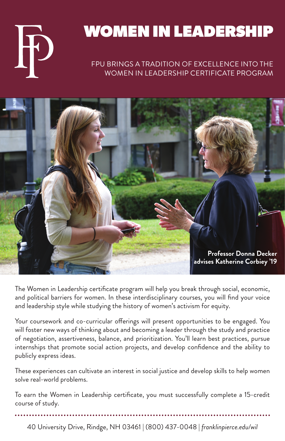

# WOMEN IN LEADERSHIP

### FPU BRINGS A TRADITION OF EXCELLENCE INTO THE WOMEN IN LEADERSHIP CERTIFICATE PROGRAM



The Women in Leadership certificate program will help you break through social, economic, and political barriers for women. In these interdisciplinary courses, you will find your voice and leadership style while studying the history of women's activism for equity.

Your coursework and co-curricular offerings will present opportunities to be engaged. You will foster new ways of thinking about and becoming a leader through the study and practice of negotiation, assertiveness, balance, and prioritization. You'll learn best practices, pursue internships that promote social action projects, and develop confidence and the ability to publicly express ideas.

These experiences can cultivate an interest in social justice and develop skills to help women solve real-world problems.

To earn the Women in Leadership certificate, you must successfully complete a 15-credit course of study.

40 University Drive, Rindge, NH 03461 | (800) 437-0048 | *franklinpierce.edu/wil*